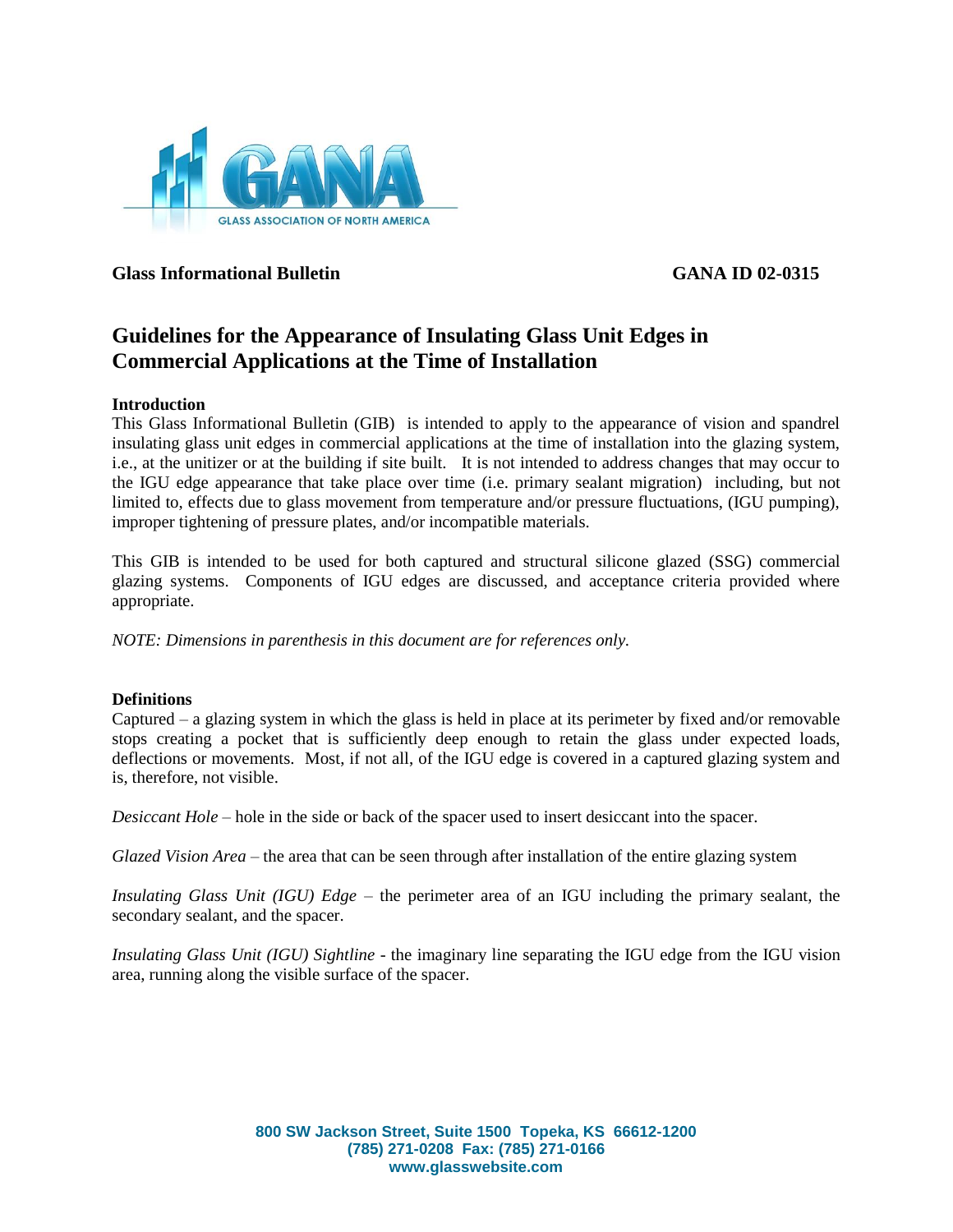

**Glass Informational Bulletin GANA ID 02-0315**

# **Guidelines for the Appearance of Insulating Glass Unit Edges in Commercial Applications at the Time of Installation**

## **Introduction**

This Glass Informational Bulletin (GIB) is intended to apply to the appearance of vision and spandrel insulating glass unit edges in commercial applications at the time of installation into the glazing system, i.e., at the unitizer or at the building if site built. It is not intended to address changes that may occur to the IGU edge appearance that take place over time (i.e. primary sealant migration) including, but not limited to, effects due to glass movement from temperature and/or pressure fluctuations, (IGU pumping), improper tightening of pressure plates, and/or incompatible materials.

This GIB is intended to be used for both captured and structural silicone glazed (SSG) commercial glazing systems. Components of IGU edges are discussed, and acceptance criteria provided where appropriate.

*NOTE: Dimensions in parenthesis in this document are for references only.*

## **Definitions**

Captured – a glazing system in which the glass is held in place at its perimeter by fixed and/or removable stops creating a pocket that is sufficiently deep enough to retain the glass under expected loads, deflections or movements. Most, if not all, of the IGU edge is covered in a captured glazing system and is, therefore, not visible.

*Desiccant Hole –* hole in the side or back of the spacer used to insert desiccant into the spacer*.*

*Glazed Vision Area* – the area that can be seen through after installation of the entire glazing system

*Insulating Glass Unit (IGU) Edge* – the perimeter area of an IGU including the primary sealant, the secondary sealant, and the spacer.

*Insulating Glass Unit (IGU) Sightline* - the imaginary line separating the IGU edge from the IGU vision area, running along the visible surface of the spacer.

> **800 SW Jackson Street, Suite 1500 Topeka, KS 66612-1200 (785) 271-0208 Fax: (785) 271-0166 www.glasswebsite.com**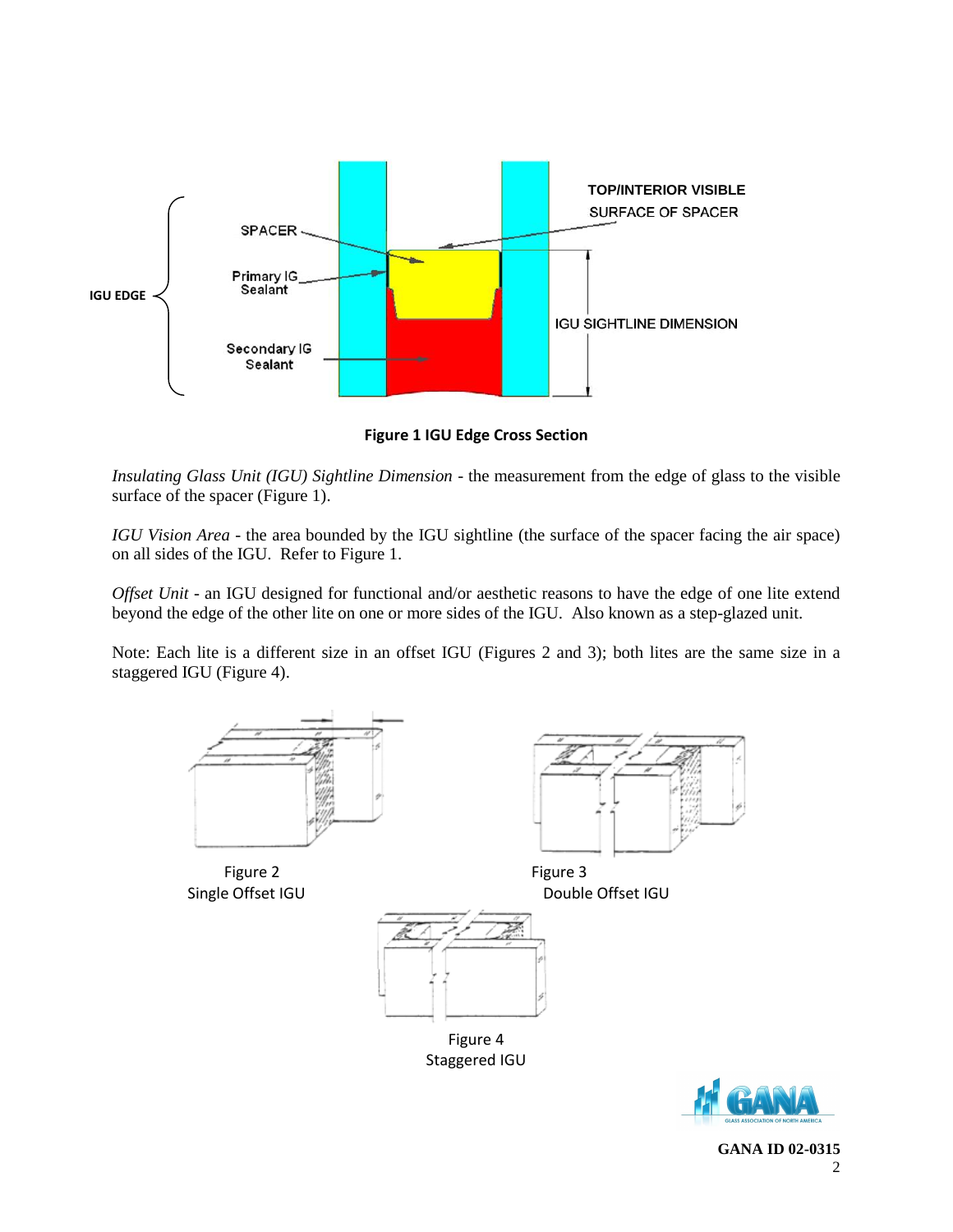

**Figure 1 IGU Edge Cross Section**

*Insulating Glass Unit (IGU) Sightline Dimension* - the measurement from the edge of glass to the visible surface of the spacer (Figure 1).

*IGU Vision Area* - the area bounded by the IGU sightline (the surface of the spacer facing the air space) on all sides of the IGU. Refer to Figure 1.

*Offset Unit* - an IGU designed for functional and/or aesthetic reasons to have the edge of one lite extend beyond the edge of the other lite on one or more sides of the IGU. Also known as a step-glazed unit.

Note: Each lite is a different size in an offset IGU (Figures 2 and 3); both lites are the same size in a staggered IGU (Figure 4).



Figure 2 Figure 3



Single Offset IGU Double Offset IGU



Figure 4 Staggered IGU



**GANA ID 02-0315** 2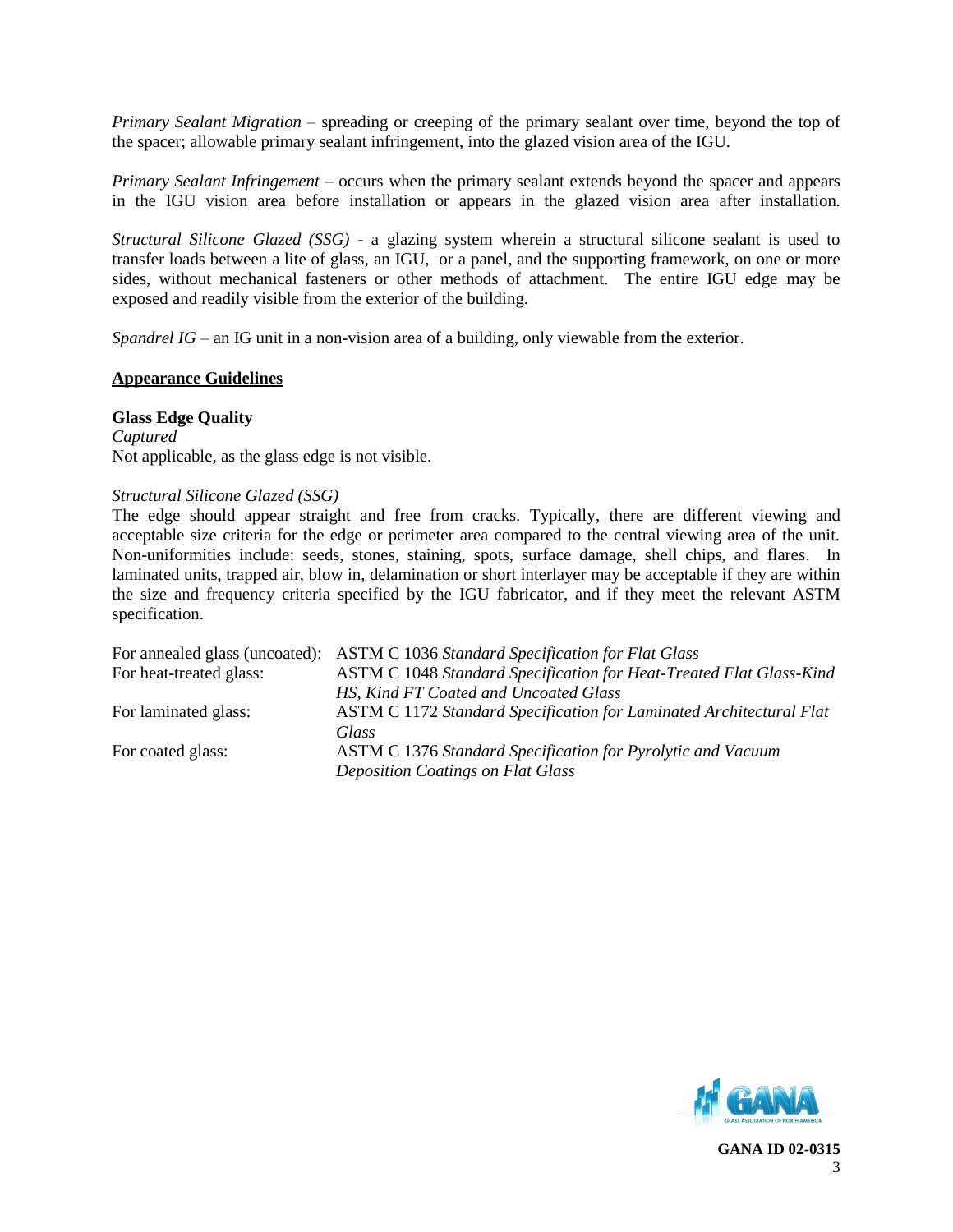*Primary Sealant Migration* – spreading or creeping of the primary sealant over time, beyond the top of the spacer; allowable primary sealant infringement, into the glazed vision area of the IGU.

*Primary Sealant Infringement* – occurs when the primary sealant extends beyond the spacer and appears in the IGU vision area before installation or appears in the glazed vision area after installation.

*Structural Silicone Glazed (SSG)* - a glazing system wherein a structural silicone sealant is used to transfer loads between a lite of glass, an IGU, or a panel, and the supporting framework, on one or more sides, without mechanical fasteners or other methods of attachment. The entire IGU edge may be exposed and readily visible from the exterior of the building.

*Spandrel IG* – an IG unit in a non-vision area of a building, only viewable from the exterior.

#### **Appearance Guidelines**

## **Glass Edge Quality**

*Captured* Not applicable, as the glass edge is not visible.

## *Structural Silicone Glazed (SSG)*

The edge should appear straight and free from cracks. Typically, there are different viewing and acceptable size criteria for the edge or perimeter area compared to the central viewing area of the unit. Non-uniformities include: seeds, stones, staining, spots, surface damage, shell chips, and flares. In laminated units, trapped air, blow in, delamination or short interlayer may be acceptable if they are within the size and frequency criteria specified by the IGU fabricator, and if they meet the relevant ASTM specification.

|                         | For annealed glass (uncoated): ASTM C 1036 Standard Specification for Flat Glass |
|-------------------------|----------------------------------------------------------------------------------|
| For heat-treated glass: | ASTM C 1048 Standard Specification for Heat-Treated Flat Glass-Kind              |
|                         | HS, Kind FT Coated and Uncoated Glass                                            |
| For laminated glass:    | ASTM C 1172 Standard Specification for Laminated Architectural Flat              |
|                         | Glass                                                                            |
| For coated glass:       | <b>ASTM C 1376 Standard Specification for Pyrolytic and Vacuum</b>               |
|                         | <b>Deposition Coatings on Flat Glass</b>                                         |
|                         |                                                                                  |

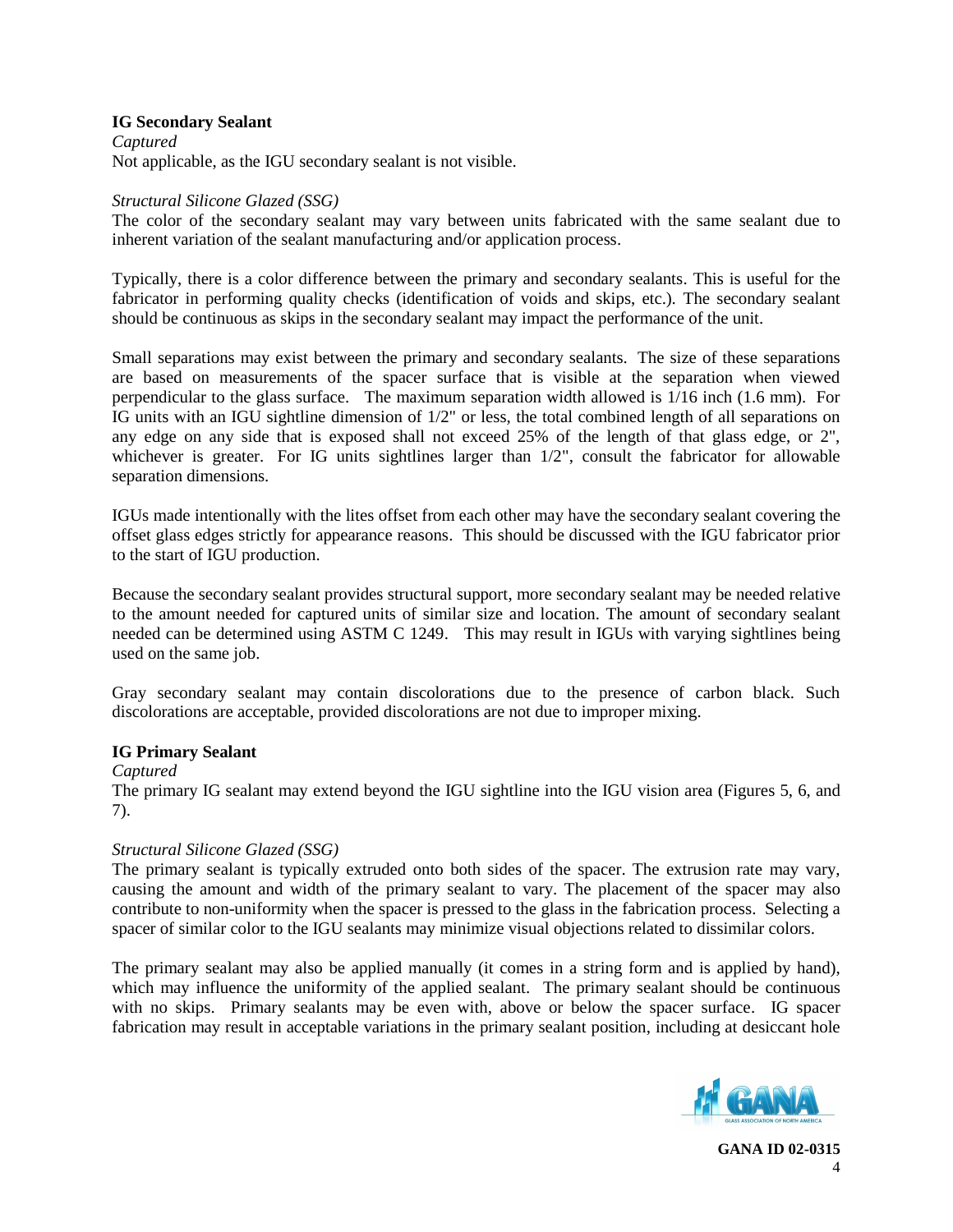## **IG Secondary Sealant**

*Captured* Not applicable, as the IGU secondary sealant is not visible.

### *Structural Silicone Glazed (SSG)*

The color of the secondary sealant may vary between units fabricated with the same sealant due to inherent variation of the sealant manufacturing and/or application process.

Typically, there is a color difference between the primary and secondary sealants. This is useful for the fabricator in performing quality checks (identification of voids and skips, etc.). The secondary sealant should be continuous as skips in the secondary sealant may impact the performance of the unit.

Small separations may exist between the primary and secondary sealants. The size of these separations are based on measurements of the spacer surface that is visible at the separation when viewed perpendicular to the glass surface. The maximum separation width allowed is 1/16 inch (1.6 mm). For IG units with an IGU sightline dimension of 1/2" or less, the total combined length of all separations on any edge on any side that is exposed shall not exceed 25% of the length of that glass edge, or 2", whichever is greater. For IG units sightlines larger than  $1/2$ ", consult the fabricator for allowable separation dimensions.

IGUs made intentionally with the lites offset from each other may have the secondary sealant covering the offset glass edges strictly for appearance reasons. This should be discussed with the IGU fabricator prior to the start of IGU production.

Because the secondary sealant provides structural support, more secondary sealant may be needed relative to the amount needed for captured units of similar size and location. The amount of secondary sealant needed can be determined using ASTM C 1249. This may result in IGUs with varying sightlines being used on the same job.

Gray secondary sealant may contain discolorations due to the presence of carbon black. Such discolorations are acceptable, provided discolorations are not due to improper mixing.

## **IG Primary Sealant**

## *Captured*

The primary IG sealant may extend beyond the IGU sightline into the IGU vision area (Figures 5, 6, and 7).

## *Structural Silicone Glazed (SSG)*

The primary sealant is typically extruded onto both sides of the spacer. The extrusion rate may vary, causing the amount and width of the primary sealant to vary. The placement of the spacer may also contribute to non-uniformity when the spacer is pressed to the glass in the fabrication process. Selecting a spacer of similar color to the IGU sealants may minimize visual objections related to dissimilar colors.

The primary sealant may also be applied manually (it comes in a string form and is applied by hand), which may influence the uniformity of the applied sealant. The primary sealant should be continuous with no skips. Primary sealants may be even with, above or below the spacer surface. IG spacer fabrication may result in acceptable variations in the primary sealant position, including at desiccant hole

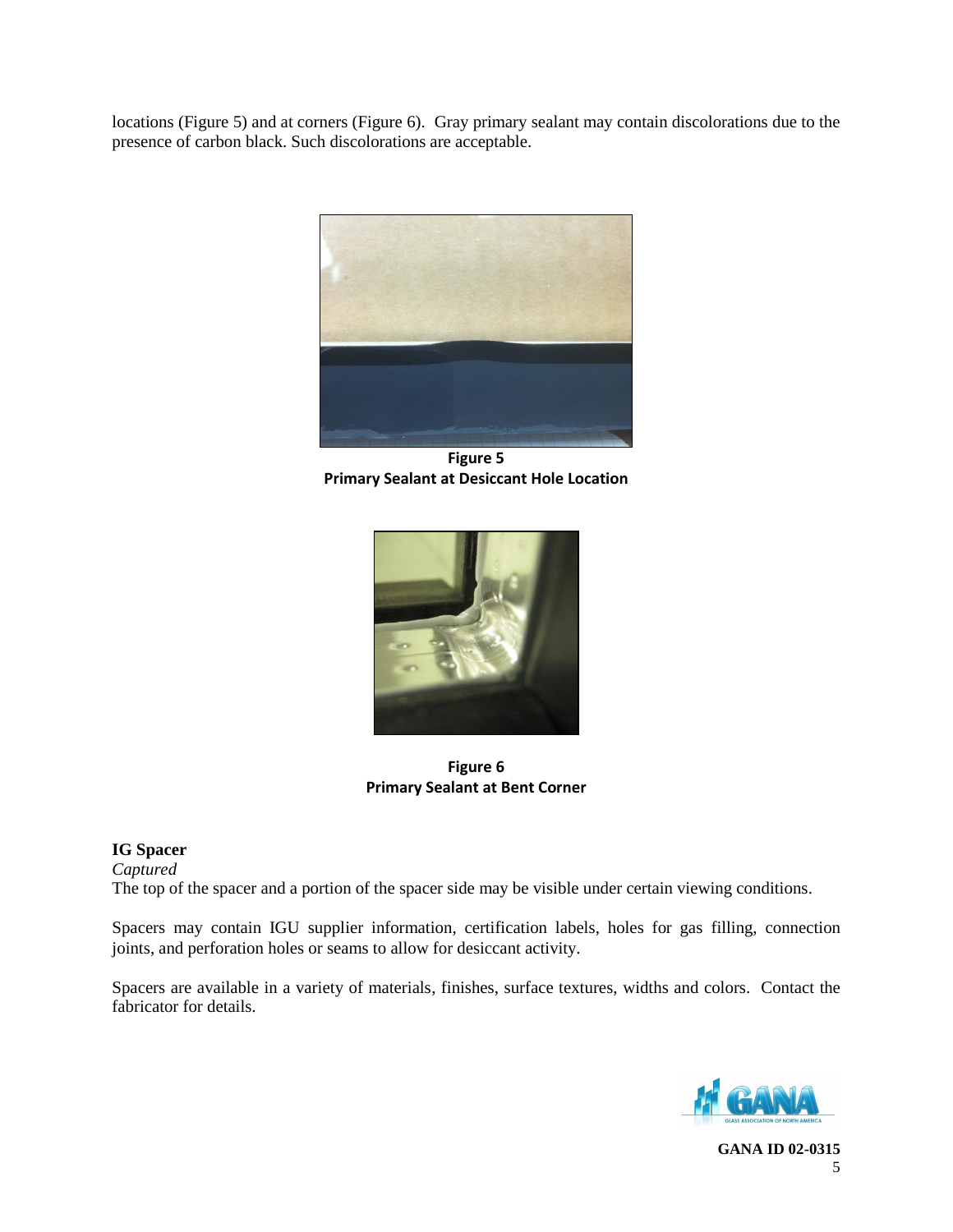locations (Figure 5) and at corners (Figure 6). Gray primary sealant may contain discolorations due to the presence of carbon black. Such discolorations are acceptable.



**Figure 5 Primary Sealant at Desiccant Hole Location**



**Figure 6 Primary Sealant at Bent Corner**

## **IG Spacer**

*Captured*

The top of the spacer and a portion of the spacer side may be visible under certain viewing conditions.

Spacers may contain IGU supplier information, certification labels, holes for gas filling, connection joints, and perforation holes or seams to allow for desiccant activity.

Spacers are available in a variety of materials, finishes, surface textures, widths and colors. Contact the fabricator for details.

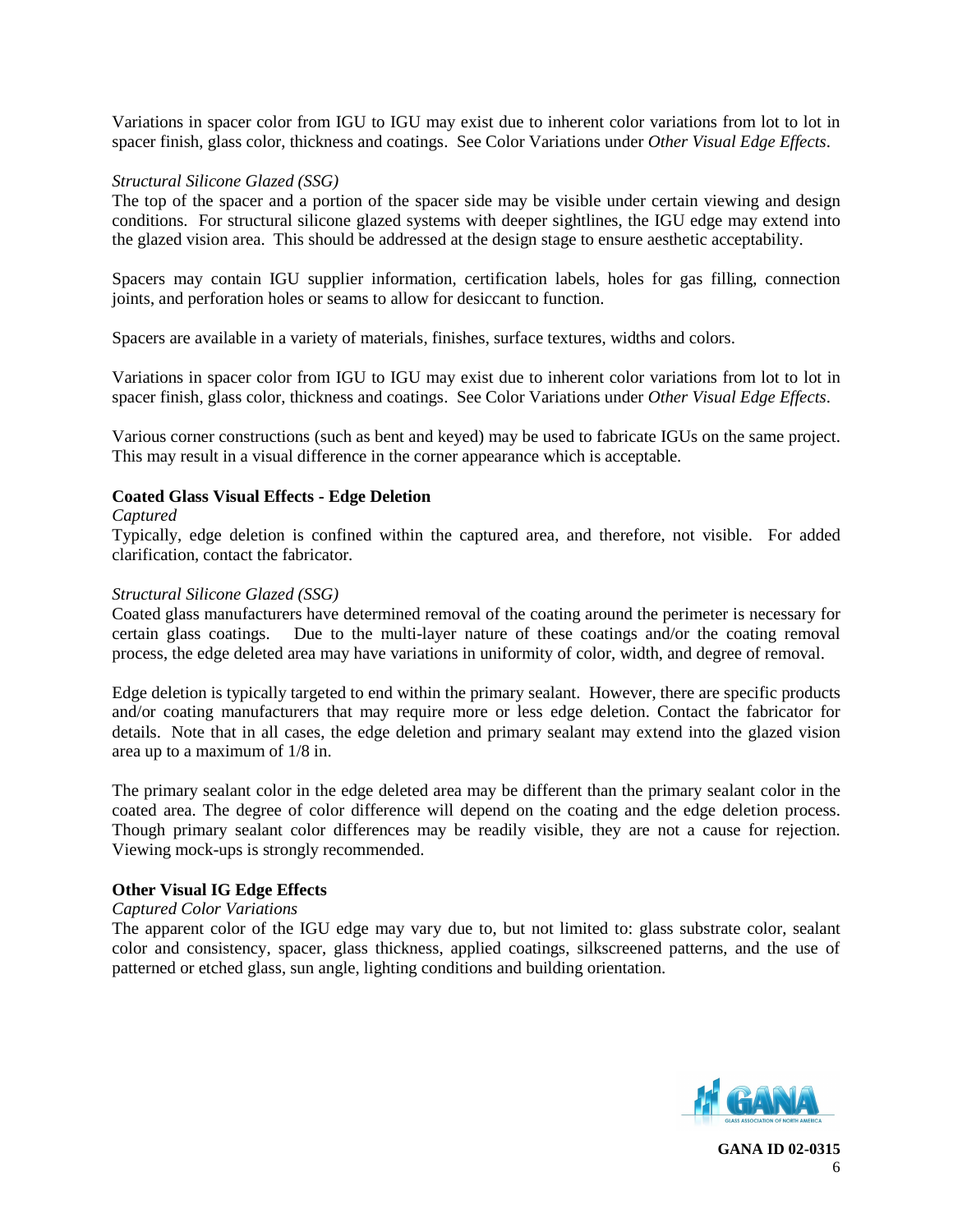Variations in spacer color from IGU to IGU may exist due to inherent color variations from lot to lot in spacer finish, glass color, thickness and coatings. See Color Variations under *Other Visual Edge Effects*.

## *Structural Silicone Glazed (SSG)*

The top of the spacer and a portion of the spacer side may be visible under certain viewing and design conditions. For structural silicone glazed systems with deeper sightlines, the IGU edge may extend into the glazed vision area. This should be addressed at the design stage to ensure aesthetic acceptability.

Spacers may contain IGU supplier information, certification labels, holes for gas filling, connection joints, and perforation holes or seams to allow for desiccant to function.

Spacers are available in a variety of materials, finishes, surface textures, widths and colors.

Variations in spacer color from IGU to IGU may exist due to inherent color variations from lot to lot in spacer finish, glass color, thickness and coatings. See Color Variations under *Other Visual Edge Effects*.

Various corner constructions (such as bent and keyed) may be used to fabricate IGUs on the same project. This may result in a visual difference in the corner appearance which is acceptable.

## **Coated Glass Visual Effects - Edge Deletion**

#### *Captured*

Typically, edge deletion is confined within the captured area, and therefore, not visible. For added clarification, contact the fabricator*.*

#### *Structural Silicone Glazed (SSG)*

Coated glass manufacturers have determined removal of the coating around the perimeter is necessary for certain glass coatings. Due to the multi-layer nature of these coatings and/or the coating removal process, the edge deleted area may have variations in uniformity of color, width, and degree of removal.

Edge deletion is typically targeted to end within the primary sealant. However, there are specific products and/or coating manufacturers that may require more or less edge deletion. Contact the fabricator for details. Note that in all cases, the edge deletion and primary sealant may extend into the glazed vision area up to a maximum of 1/8 in.

The primary sealant color in the edge deleted area may be different than the primary sealant color in the coated area. The degree of color difference will depend on the coating and the edge deletion process. Though primary sealant color differences may be readily visible, they are not a cause for rejection. Viewing mock-ups is strongly recommended.

## **Other Visual IG Edge Effects**

## *Captured Color Variations*

The apparent color of the IGU edge may vary due to, but not limited to: glass substrate color, sealant color and consistency, spacer, glass thickness, applied coatings, silkscreened patterns, and the use of patterned or etched glass, sun angle, lighting conditions and building orientation.

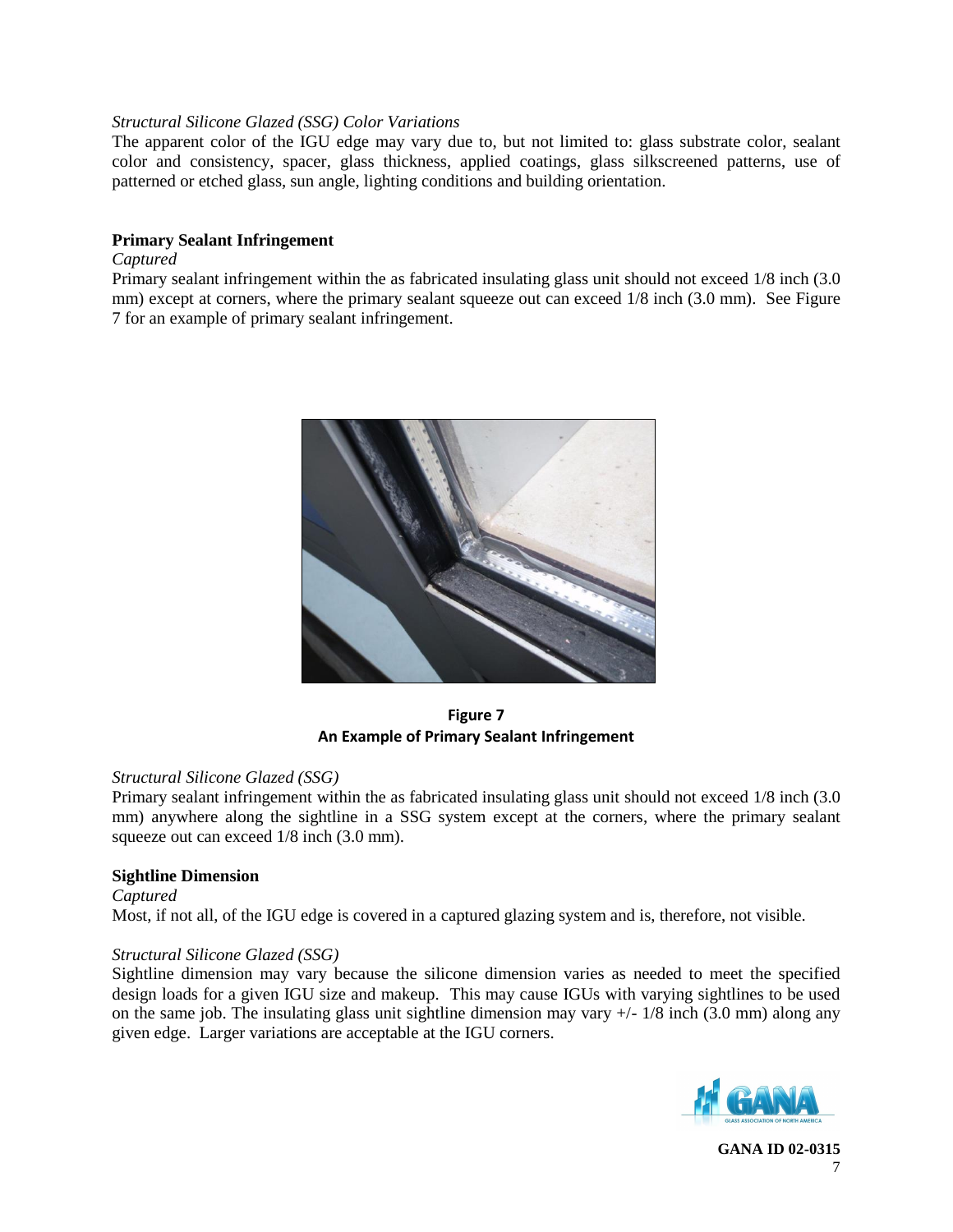## *Structural Silicone Glazed (SSG) Color Variations*

The apparent color of the IGU edge may vary due to, but not limited to: glass substrate color, sealant color and consistency, spacer, glass thickness, applied coatings, glass silkscreened patterns, use of patterned or etched glass, sun angle, lighting conditions and building orientation.

## **Primary Sealant Infringement**

### *Captured*

Primary sealant infringement within the as fabricated insulating glass unit should not exceed 1/8 inch (3.0 mm) except at corners, where the primary sealant squeeze out can exceed  $1/8$  inch (3.0 mm). See Figure 7 for an example of primary sealant infringement.



**Figure 7 An Example of Primary Sealant Infringement**

#### *Structural Silicone Glazed (SSG)*

Primary sealant infringement within the as fabricated insulating glass unit should not exceed 1/8 inch (3.0 mm) anywhere along the sightline in a SSG system except at the corners, where the primary sealant squeeze out can exceed 1/8 inch (3.0 mm).

## **Sightline Dimension**

#### *Captured*

Most, if not all, of the IGU edge is covered in a captured glazing system and is, therefore, not visible.

## *Structural Silicone Glazed (SSG)*

Sightline dimension may vary because the silicone dimension varies as needed to meet the specified design loads for a given IGU size and makeup. This may cause IGUs with varying sightlines to be used on the same job. The insulating glass unit sightline dimension may vary  $+/-1/8$  inch (3.0 mm) along any given edge. Larger variations are acceptable at the IGU corners.